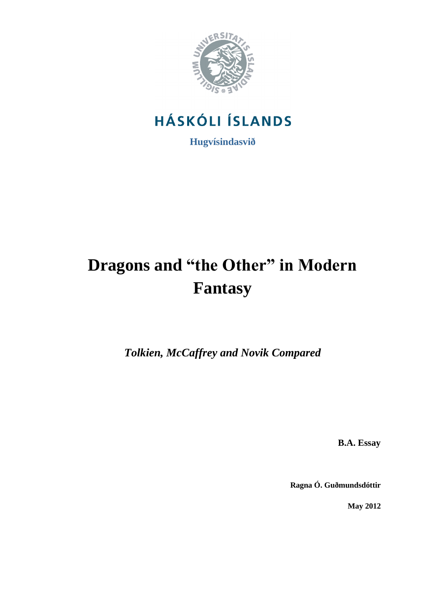

# **HÁSKÓLI ÍSLANDS**

**Hugvísindasvið**

# **Dragons and "the Other" in Modern Fantasy**

*Tolkien, McCaffrey and Novik Compared*

**B.A. Essay**

**Ragna Ó. Guðmundsdóttir**

**May 2012**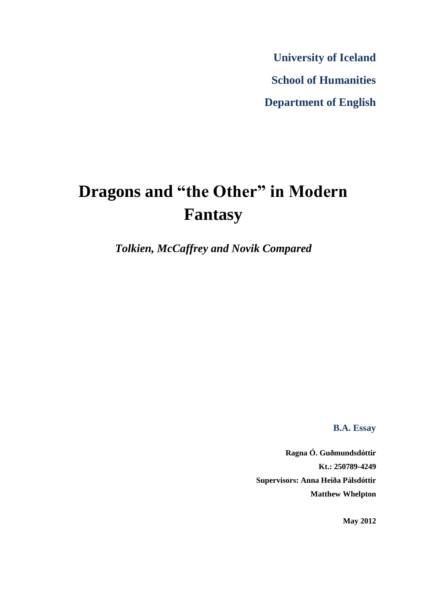**University of Iceland School of Humanities Department of English**

# **Dragons and "the Other" in Modern Fantasy**

*Tolkien, McCaffrey and Novik Compared*

**B.A. Essay**

**Ragna Ó. Guðmundsdóttir Kt.: 250789-4249 Supervisors: Anna Heiða Pálsdóttir Matthew Whelpton**

**May 2012**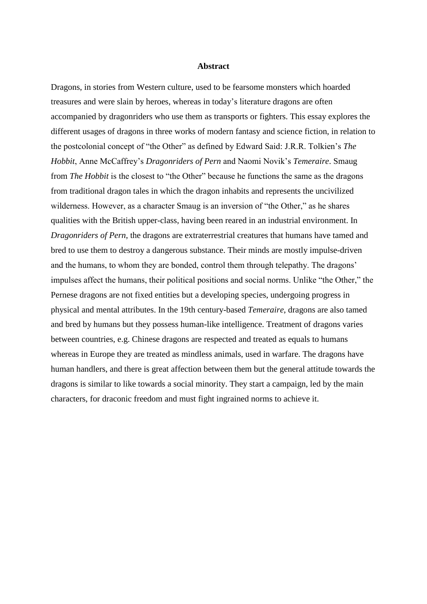### **Abstract**

Dragons, in stories from Western culture, used to be fearsome monsters which hoarded treasures and were slain by heroes, whereas in today's literature dragons are often accompanied by dragonriders who use them as transports or fighters. This essay explores the different usages of dragons in three works of modern fantasy and science fiction, in relation to the postcolonial concept of "the Other" as defined by Edward Said: J.R.R. Tolkien's *The Hobbit*, Anne McCaffrey's *Dragonriders of Pern* and Naomi Novik's *Temeraire*. Smaug from *The Hobbit* is the closest to "the Other" because he functions the same as the dragons from traditional dragon tales in which the dragon inhabits and represents the uncivilized wilderness. However, as a character Smaug is an inversion of "the Other," as he shares qualities with the British upper-class, having been reared in an industrial environment. In *Dragonriders of Pern*, the dragons are extraterrestrial creatures that humans have tamed and bred to use them to destroy a dangerous substance. Their minds are mostly impulse-driven and the humans, to whom they are bonded, control them through telepathy. The dragons' impulses affect the humans, their political positions and social norms. Unlike "the Other," the Pernese dragons are not fixed entities but a developing species, undergoing progress in physical and mental attributes. In the 19th century-based *Temeraire*, dragons are also tamed and bred by humans but they possess human-like intelligence. Treatment of dragons varies between countries, e.g. Chinese dragons are respected and treated as equals to humans whereas in Europe they are treated as mindless animals, used in warfare. The dragons have human handlers, and there is great affection between them but the general attitude towards the dragons is similar to like towards a social minority. They start a campaign, led by the main characters, for draconic freedom and must fight ingrained norms to achieve it.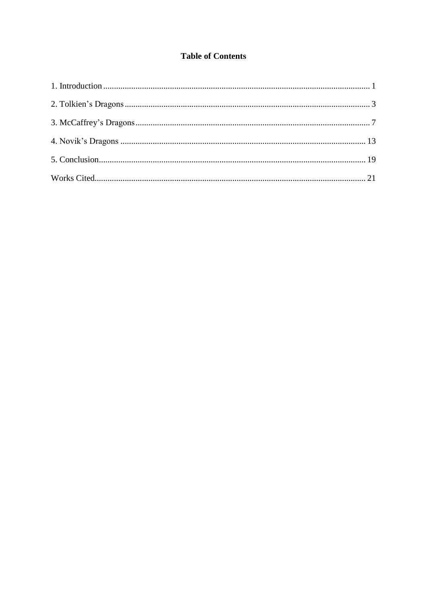# **Table of Contents**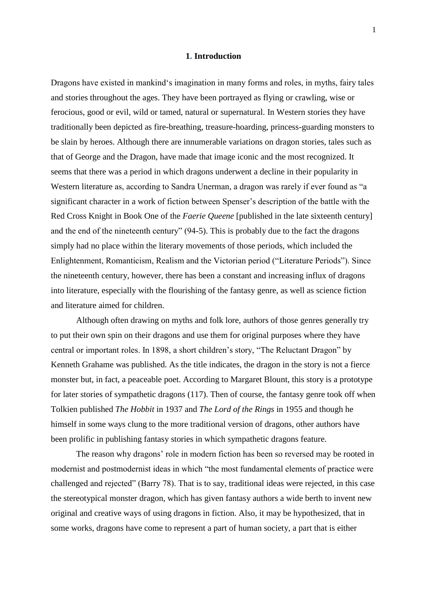### **1. Introduction**

Dragons have existed in mankind's imagination in many forms and roles, in myths, fairy tales and stories throughout the ages. They have been portrayed as flying or crawling, wise or ferocious, good or evil, wild or tamed, natural or supernatural. In Western stories they have traditionally been depicted as fire-breathing, treasure-hoarding, princess-guarding monsters to be slain by heroes. Although there are innumerable variations on dragon stories, tales such as that of George and the Dragon, have made that image iconic and the most recognized. It seems that there was a period in which dragons underwent a decline in their popularity in Western literature as, according to Sandra Unerman, a dragon was rarely if ever found as "a significant character in a work of fiction between Spenser's description of the battle with the Red Cross Knight in Book One of the *Faerie Queene* [published in the late sixteenth century] and the end of the nineteenth century" (94-5). This is probably due to the fact the dragons simply had no place within the literary movements of those periods, which included the Enlightenment, Romanticism, Realism and the Victorian period ("Literature Periods"). Since the nineteenth century, however, there has been a constant and increasing influx of dragons into literature, especially with the flourishing of the fantasy genre, as well as science fiction and literature aimed for children.

Although often drawing on myths and folk lore, authors of those genres generally try to put their own spin on their dragons and use them for original purposes where they have central or important roles. In 1898, a short children's story, "The Reluctant Dragon" by Kenneth Grahame was published. As the title indicates, the dragon in the story is not a fierce monster but, in fact, a peaceable poet. According to Margaret Blount, this story is a prototype for later stories of sympathetic dragons (117). Then of course, the fantasy genre took off when Tolkien published *The Hobbit* in 1937 and *The Lord of the Rings* in 1955 and though he himself in some ways clung to the more traditional version of dragons, other authors have been prolific in publishing fantasy stories in which sympathetic dragons feature.

The reason why dragons' role in modern fiction has been so reversed may be rooted in modernist and postmodernist ideas in which "the most fundamental elements of practice were challenged and rejected" (Barry 78). That is to say, traditional ideas were rejected, in this case the stereotypical monster dragon, which has given fantasy authors a wide berth to invent new original and creative ways of using dragons in fiction. Also, it may be hypothesized, that in some works, dragons have come to represent a part of human society, a part that is either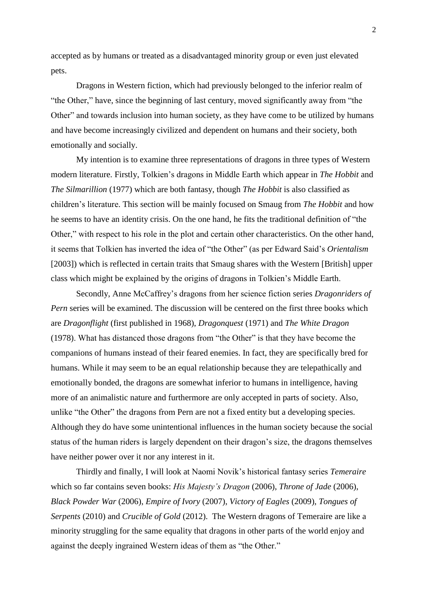accepted as by humans or treated as a disadvantaged minority group or even just elevated pets.

Dragons in Western fiction, which had previously belonged to the inferior realm of "the Other," have, since the beginning of last century, moved significantly away from "the Other" and towards inclusion into human society, as they have come to be utilized by humans and have become increasingly civilized and dependent on humans and their society, both emotionally and socially.

My intention is to examine three representations of dragons in three types of Western modern literature. Firstly, Tolkien's dragons in Middle Earth which appear in *The Hobbit* and *The Silmarillion* (1977) which are both fantasy, though *The Hobbit* is also classified as children's literature. This section will be mainly focused on Smaug from *The Hobbit* and how he seems to have an identity crisis. On the one hand, he fits the traditional definition of "the Other," with respect to his role in the plot and certain other characteristics. On the other hand, it seems that Tolkien has inverted the idea of "the Other" (as per Edward Said's *Orientalism* [2003]) which is reflected in certain traits that Smaug shares with the Western [British] upper class which might be explained by the origins of dragons in Tolkien's Middle Earth.

Secondly, Anne McCaffrey's dragons from her science fiction series *Dragonriders of Pern* series will be examined. The discussion will be centered on the first three books which are *Dragonflight* (first published in 1968), *Dragonquest* (1971) and *The White Dragon* (1978). What has distanced those dragons from "the Other" is that they have become the companions of humans instead of their feared enemies. In fact, they are specifically bred for humans. While it may seem to be an equal relationship because they are telepathically and emotionally bonded, the dragons are somewhat inferior to humans in intelligence, having more of an animalistic nature and furthermore are only accepted in parts of society. Also, unlike "the Other" the dragons from Pern are not a fixed entity but a developing species. Although they do have some unintentional influences in the human society because the social status of the human riders is largely dependent on their dragon's size, the dragons themselves have neither power over it nor any interest in it.

Thirdly and finally, I will look at Naomi Novik's historical fantasy series *Temeraire* which so far contains seven books: *His Majesty's Dragon* (2006), *Throne of Jade* (2006), *Black Powder War* (2006), *Empire of Ivory* (2007), *Victory of Eagles* (2009), *Tongues of Serpents* (2010) and *Crucible of Gold* (2012). The Western dragons of Temeraire are like a minority struggling for the same equality that dragons in other parts of the world enjoy and against the deeply ingrained Western ideas of them as "the Other."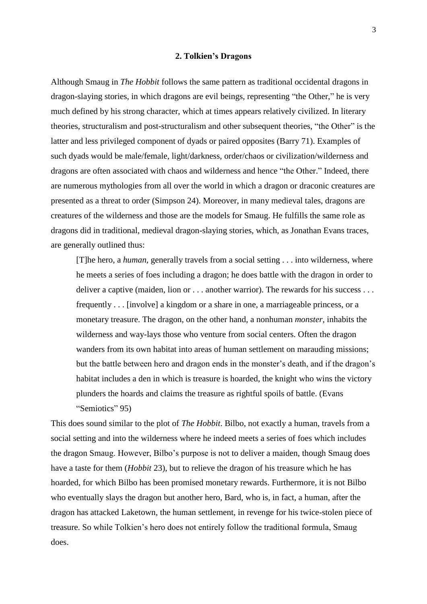#### **2. Tolkien's Dragons**

<span id="page-6-0"></span>Although Smaug in *The Hobbit* follows the same pattern as traditional occidental dragons in dragon-slaying stories, in which dragons are evil beings, representing "the Other," he is very much defined by his strong character, which at times appears relatively civilized. In literary theories, structuralism and post-structuralism and other subsequent theories, "the Other" is the latter and less privileged component of dyads or paired opposites (Barry 71). Examples of such dyads would be male/female, light/darkness, order/chaos or civilization/wilderness and dragons are often associated with chaos and wilderness and hence "the Other." Indeed, there are numerous mythologies from all over the world in which a dragon or draconic creatures are presented as a threat to order (Simpson 24). Moreover, in many medieval tales, dragons are creatures of the wilderness and those are the models for Smaug. He fulfills the same role as dragons did in traditional, medieval dragon-slaying stories, which, as Jonathan Evans traces, are generally outlined thus:

[T]he hero, a *human*, generally travels from a social setting . . . into wilderness, where he meets a series of foes including a dragon; he does battle with the dragon in order to deliver a captive (maiden, lion or . . . another warrior). The rewards for his success . . . frequently . . . [involve] a kingdom or a share in one, a marriageable princess, or a monetary treasure. The dragon, on the other hand, a nonhuman *monster*, inhabits the wilderness and way-lays those who venture from social centers. Often the dragon wanders from its own habitat into areas of human settlement on marauding missions; but the battle between hero and dragon ends in the monster's death, and if the dragon's habitat includes a den in which is treasure is hoarded, the knight who wins the victory plunders the hoards and claims the treasure as rightful spoils of battle. (Evans "Semiotics" 95)

This does sound similar to the plot of *The Hobbit*. Bilbo, not exactly a human, travels from a social setting and into the wilderness where he indeed meets a series of foes which includes the dragon Smaug. However, Bilbo's purpose is not to deliver a maiden, though Smaug does have a taste for them (*Hobbit* 23), but to relieve the dragon of his treasure which he has hoarded, for which Bilbo has been promised monetary rewards. Furthermore, it is not Bilbo who eventually slays the dragon but another hero, Bard, who is, in fact, a human, after the dragon has attacked Laketown, the human settlement, in revenge for his twice-stolen piece of treasure. So while Tolkien's hero does not entirely follow the traditional formula, Smaug does.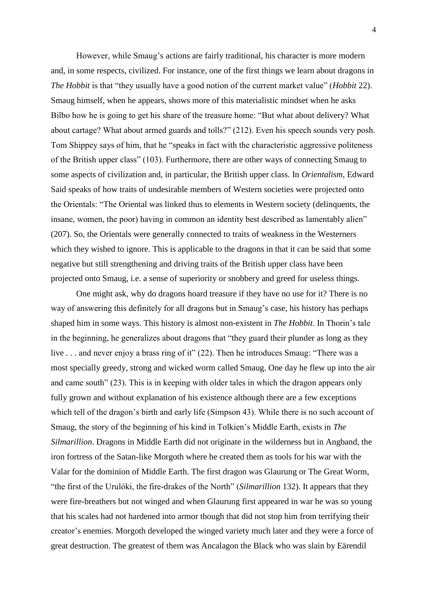However, while Smaug's actions are fairly traditional, his character is more modern and, in some respects, civilized. For instance, one of the first things we learn about dragons in *The Hobbit* is that "they usually have a good notion of the current market value" (*Hobbit* 22). Smaug himself, when he appears, shows more of this materialistic mindset when he asks Bilbo how he is going to get his share of the treasure home: "But what about delivery? What about cartage? What about armed guards and tolls?" (212). Even his speech sounds very posh. Tom Shippey says of him, that he "speaks in fact with the characteristic aggressive politeness of the British upper class" (103). Furthermore, there are other ways of connecting Smaug to some aspects of civilization and, in particular, the British upper class. In *Orientalism*, Edward Said speaks of how traits of undesirable members of Western societies were projected onto the Orientals: "The Oriental was linked thus to elements in Western society (delinquents, the insane, women, the poor) having in common an identity best described as lamentably alien" (207). So, the Orientals were generally connected to traits of weakness in the Westerners which they wished to ignore. This is applicable to the dragons in that it can be said that some negative but still strengthening and driving traits of the British upper class have been projected onto Smaug, i.e. a sense of superiority or snobbery and greed for useless things.

One might ask, why do dragons hoard treasure if they have no use for it? There is no way of answering this definitely for all dragons but in Smaug's case, his history has perhaps shaped him in some ways. This history is almost non-existent in *The Hobbit*. In Thorin's tale in the beginning, he generalizes about dragons that "they guard their plunder as long as they live . . . and never enjoy a brass ring of it" (22). Then he introduces Smaug: "There was a most specially greedy, strong and wicked worm called Smaug. One day he flew up into the air and came south" (23). This is in keeping with older tales in which the dragon appears only fully grown and without explanation of his existence although there are a few exceptions which tell of the dragon's birth and early life (Simpson 43). While there is no such account of Smaug, the story of the beginning of his kind in Tolkien's Middle Earth, exists in *The Silmarillion*. Dragons in Middle Earth did not originate in the wilderness but in Angband, the iron fortress of the Satan-like Morgoth where he created them as tools for his war with the Valar for the dominion of Middle Earth. The first dragon was Glaurung or The Great Worm, "the first of the Urulóki, the fire-drakes of the North" (*Silmarillion* 132). It appears that they were fire-breathers but not winged and when Glaurung first appeared in war he was so young that his scales had not hardened into armor though that did not stop him from terrifying their creator's enemies. Morgoth developed the winged variety much later and they were a force of great destruction. The greatest of them was Ancalagon the Black who was slain by Eärendil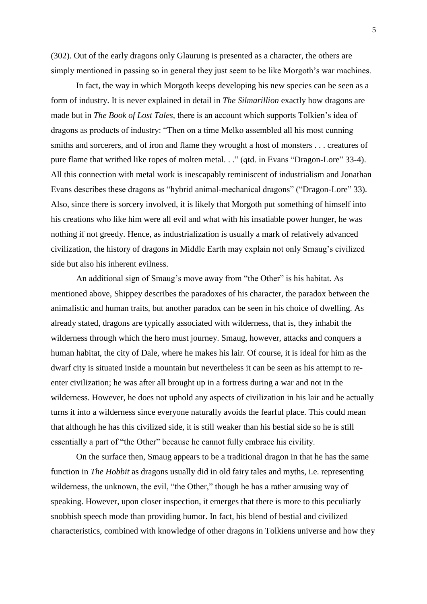(302). Out of the early dragons only Glaurung is presented as a character, the others are simply mentioned in passing so in general they just seem to be like Morgoth's war machines.

In fact, the way in which Morgoth keeps developing his new species can be seen as a form of industry. It is never explained in detail in *The Silmarillion* exactly how dragons are made but in *The Book of Lost Tales,* there is an account which supports Tolkien's idea of dragons as products of industry: "Then on a time Melko assembled all his most cunning smiths and sorcerers, and of iron and flame they wrought a host of monsters . . . creatures of pure flame that writhed like ropes of molten metal. . ." (qtd. in Evans "Dragon-Lore" 33-4). All this connection with metal work is inescapably reminiscent of industrialism and Jonathan Evans describes these dragons as "hybrid animal-mechanical dragons" ("Dragon-Lore" 33). Also, since there is sorcery involved, it is likely that Morgoth put something of himself into his creations who like him were all evil and what with his insatiable power hunger, he was nothing if not greedy. Hence, as industrialization is usually a mark of relatively advanced civilization, the history of dragons in Middle Earth may explain not only Smaug's civilized side but also his inherent evilness.

An additional sign of Smaug's move away from "the Other" is his habitat. As mentioned above, Shippey describes the paradoxes of his character, the paradox between the animalistic and human traits, but another paradox can be seen in his choice of dwelling. As already stated, dragons are typically associated with wilderness, that is, they inhabit the wilderness through which the hero must journey. Smaug, however, attacks and conquers a human habitat, the city of Dale, where he makes his lair. Of course, it is ideal for him as the dwarf city is situated inside a mountain but nevertheless it can be seen as his attempt to reenter civilization; he was after all brought up in a fortress during a war and not in the wilderness. However, he does not uphold any aspects of civilization in his lair and he actually turns it into a wilderness since everyone naturally avoids the fearful place. This could mean that although he has this civilized side, it is still weaker than his bestial side so he is still essentially a part of "the Other" because he cannot fully embrace his civility.

On the surface then, Smaug appears to be a traditional dragon in that he has the same function in *The Hobbit* as dragons usually did in old fairy tales and myths, i.e. representing wilderness, the unknown, the evil, "the Other," though he has a rather amusing way of speaking. However, upon closer inspection, it emerges that there is more to this peculiarly snobbish speech mode than providing humor. In fact, his blend of bestial and civilized characteristics, combined with knowledge of other dragons in Tolkiens universe and how they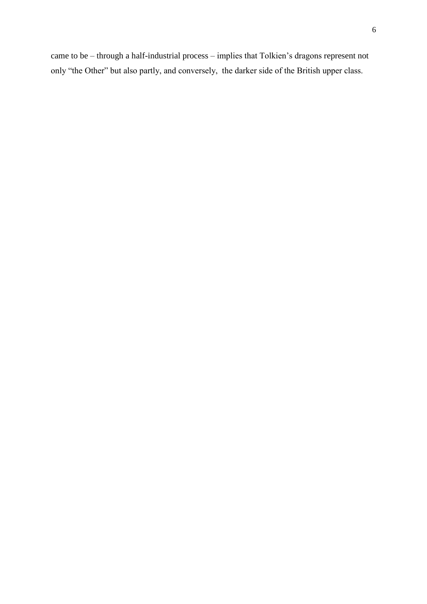<span id="page-9-0"></span>came to be – through a half-industrial process – implies that Tolkien's dragons represent not only "the Other" but also partly, and conversely, the darker side of the British upper class.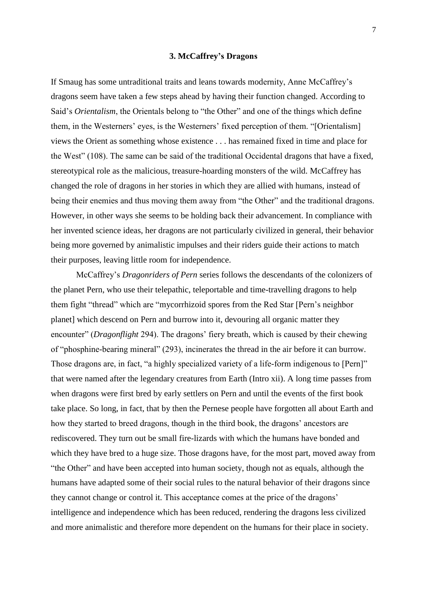# **3. McCaffrey's Dragons**

If Smaug has some untraditional traits and leans towards modernity, Anne McCaffrey's dragons seem have taken a few steps ahead by having their function changed. According to Said's *Orientalism*, the Orientals belong to "the Other" and one of the things which define them, in the Westerners' eyes, is the Westerners' fixed perception of them. "[Orientalism] views the Orient as something whose existence . . . has remained fixed in time and place for the West" (108). The same can be said of the traditional Occidental dragons that have a fixed, stereotypical role as the malicious, treasure-hoarding monsters of the wild. McCaffrey has changed the role of dragons in her stories in which they are allied with humans, instead of being their enemies and thus moving them away from "the Other" and the traditional dragons. However, in other ways she seems to be holding back their advancement. In compliance with her invented science ideas, her dragons are not particularly civilized in general, their behavior being more governed by animalistic impulses and their riders guide their actions to match their purposes, leaving little room for independence.

McCaffrey's *Dragonriders of Pern* series follows the descendants of the colonizers of the planet Pern, who use their telepathic, teleportable and time-travelling dragons to help them fight "thread" which are "mycorrhizoid spores from the Red Star [Pern's neighbor planet] which descend on Pern and burrow into it, devouring all organic matter they encounter" (*Dragonflight* 294). The dragons' fiery breath, which is caused by their chewing of "phosphine-bearing mineral" (293), incinerates the thread in the air before it can burrow. Those dragons are, in fact, "a highly specialized variety of a life-form indigenous to [Pern]" that were named after the legendary creatures from Earth (Intro xii). A long time passes from when dragons were first bred by early settlers on Pern and until the events of the first book take place. So long, in fact, that by then the Pernese people have forgotten all about Earth and how they started to breed dragons, though in the third book, the dragons' ancestors are rediscovered. They turn out be small fire-lizards with which the humans have bonded and which they have bred to a huge size. Those dragons have, for the most part, moved away from "the Other" and have been accepted into human society, though not as equals, although the humans have adapted some of their social rules to the natural behavior of their dragons since they cannot change or control it. This acceptance comes at the price of the dragons' intelligence and independence which has been reduced, rendering the dragons less civilized and more animalistic and therefore more dependent on the humans for their place in society.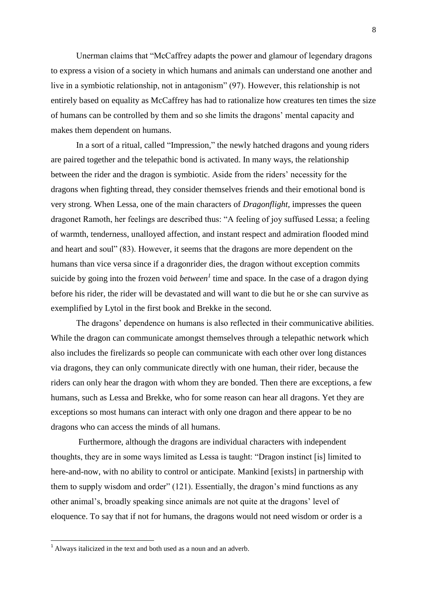Unerman claims that "McCaffrey adapts the power and glamour of legendary dragons to express a vision of a society in which humans and animals can understand one another and live in a symbiotic relationship, not in antagonism" (97). However, this relationship is not entirely based on equality as McCaffrey has had to rationalize how creatures ten times the size of humans can be controlled by them and so she limits the dragons' mental capacity and makes them dependent on humans.

In a sort of a ritual, called "Impression," the newly hatched dragons and young riders are paired together and the telepathic bond is activated. In many ways, the relationship between the rider and the dragon is symbiotic. Aside from the riders' necessity for the dragons when fighting thread, they consider themselves friends and their emotional bond is very strong. When Lessa, one of the main characters of *Dragonflight*, impresses the queen dragonet Ramoth, her feelings are described thus: "A feeling of joy suffused Lessa; a feeling of warmth, tenderness, unalloyed affection, and instant respect and admiration flooded mind and heart and soul" (83). However, it seems that the dragons are more dependent on the humans than vice versa since if a dragonrider dies, the dragon without exception commits suicide by going into the frozen void *between*<sup> $1$ </sup> time and space. In the case of a dragon dying before his rider, the rider will be devastated and will want to die but he or she can survive as exemplified by Lytol in the first book and Brekke in the second.

The dragons' dependence on humans is also reflected in their communicative abilities. While the dragon can communicate amongst themselves through a telepathic network which also includes the firelizards so people can communicate with each other over long distances via dragons, they can only communicate directly with one human, their rider, because the riders can only hear the dragon with whom they are bonded. Then there are exceptions, a few humans, such as Lessa and Brekke, who for some reason can hear all dragons. Yet they are exceptions so most humans can interact with only one dragon and there appear to be no dragons who can access the minds of all humans.

Furthermore, although the dragons are individual characters with independent thoughts, they are in some ways limited as Lessa is taught: "Dragon instinct [is] limited to here-and-now, with no ability to control or anticipate. Mankind [exists] in partnership with them to supply wisdom and order" (121). Essentially, the dragon's mind functions as any other animal's, broadly speaking since animals are not quite at the dragons' level of eloquence. To say that if not for humans, the dragons would not need wisdom or order is a

 $\overline{\phantom{a}}$ 

 $1$  Always italicized in the text and both used as a noun and an adverb.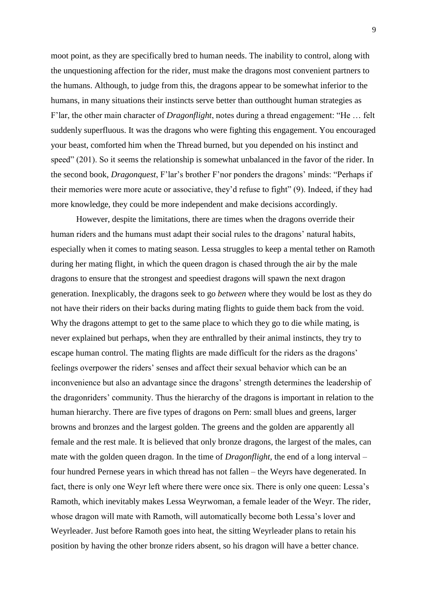moot point, as they are specifically bred to human needs. The inability to control, along with the unquestioning affection for the rider, must make the dragons most convenient partners to the humans. Although, to judge from this, the dragons appear to be somewhat inferior to the humans, in many situations their instincts serve better than outthought human strategies as F'lar, the other main character of *Dragonflight*, notes during a thread engagement: "He … felt suddenly superfluous. It was the dragons who were fighting this engagement. You encouraged your beast, comforted him when the Thread burned, but you depended on his instinct and speed" (201). So it seems the relationship is somewhat unbalanced in the favor of the rider. In the second book, *Dragonquest*, F'lar's brother F'nor ponders the dragons' minds: "Perhaps if their memories were more acute or associative, they'd refuse to fight" (9). Indeed, if they had more knowledge, they could be more independent and make decisions accordingly.

However, despite the limitations, there are times when the dragons override their human riders and the humans must adapt their social rules to the dragons' natural habits, especially when it comes to mating season. Lessa struggles to keep a mental tether on Ramoth during her mating flight, in which the queen dragon is chased through the air by the male dragons to ensure that the strongest and speediest dragons will spawn the next dragon generation. Inexplicably, the dragons seek to go *between* where they would be lost as they do not have their riders on their backs during mating flights to guide them back from the void. Why the dragons attempt to get to the same place to which they go to die while mating, is never explained but perhaps, when they are enthralled by their animal instincts, they try to escape human control. The mating flights are made difficult for the riders as the dragons' feelings overpower the riders' senses and affect their sexual behavior which can be an inconvenience but also an advantage since the dragons' strength determines the leadership of the dragonriders' community. Thus the hierarchy of the dragons is important in relation to the human hierarchy. There are five types of dragons on Pern: small blues and greens, larger browns and bronzes and the largest golden. The greens and the golden are apparently all female and the rest male. It is believed that only bronze dragons, the largest of the males, can mate with the golden queen dragon. In the time of *Dragonflight*, the end of a long interval – four hundred Pernese years in which thread has not fallen – the Weyrs have degenerated. In fact, there is only one Weyr left where there were once six. There is only one queen: Lessa's Ramoth, which inevitably makes Lessa Weyrwoman, a female leader of the Weyr. The rider, whose dragon will mate with Ramoth, will automatically become both Lessa's lover and Weyrleader. Just before Ramoth goes into heat, the sitting Weyrleader plans to retain his position by having the other bronze riders absent, so his dragon will have a better chance.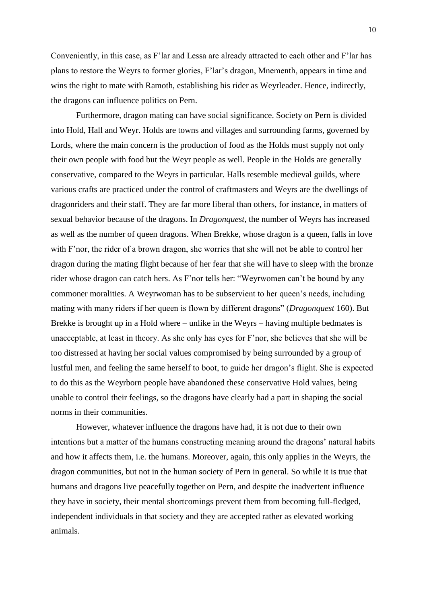Conveniently, in this case, as F'lar and Lessa are already attracted to each other and F'lar has plans to restore the Weyrs to former glories, F'lar's dragon, Mnementh, appears in time and wins the right to mate with Ramoth, establishing his rider as Weyrleader. Hence, indirectly, the dragons can influence politics on Pern.

Furthermore, dragon mating can have social significance. Society on Pern is divided into Hold, Hall and Weyr. Holds are towns and villages and surrounding farms, governed by Lords, where the main concern is the production of food as the Holds must supply not only their own people with food but the Weyr people as well. People in the Holds are generally conservative, compared to the Weyrs in particular. Halls resemble medieval guilds, where various crafts are practiced under the control of craftmasters and Weyrs are the dwellings of dragonriders and their staff. They are far more liberal than others, for instance, in matters of sexual behavior because of the dragons. In *Dragonquest*, the number of Weyrs has increased as well as the number of queen dragons. When Brekke, whose dragon is a queen, falls in love with F'nor, the rider of a brown dragon, she worries that she will not be able to control her dragon during the mating flight because of her fear that she will have to sleep with the bronze rider whose dragon can catch hers. As F'nor tells her: "Weyrwomen can't be bound by any commoner moralities. A Weyrwoman has to be subservient to her queen's needs, including mating with many riders if her queen is flown by different dragons" (*Dragonquest* 160). But Brekke is brought up in a Hold where – unlike in the Weyrs – having multiple bedmates is unacceptable, at least in theory. As she only has eyes for F'nor, she believes that she will be too distressed at having her social values compromised by being surrounded by a group of lustful men, and feeling the same herself to boot, to guide her dragon's flight. She is expected to do this as the Weyrborn people have abandoned these conservative Hold values, being unable to control their feelings, so the dragons have clearly had a part in shaping the social norms in their communities.

However, whatever influence the dragons have had, it is not due to their own intentions but a matter of the humans constructing meaning around the dragons' natural habits and how it affects them, i.e. the humans. Moreover, again, this only applies in the Weyrs, the dragon communities, but not in the human society of Pern in general. So while it is true that humans and dragons live peacefully together on Pern, and despite the inadvertent influence they have in society, their mental shortcomings prevent them from becoming full-fledged, independent individuals in that society and they are accepted rather as elevated working animals.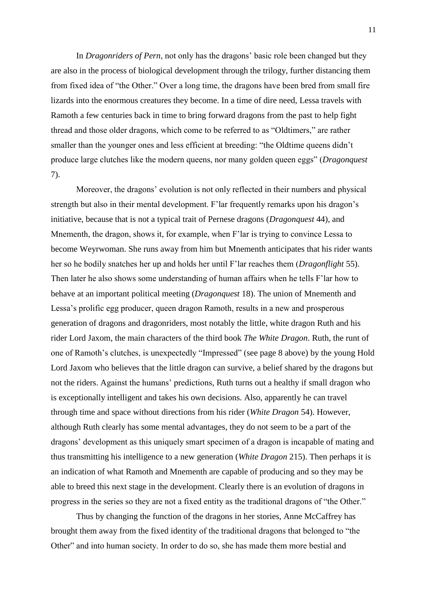In *Dragonriders of Pern*, not only has the dragons' basic role been changed but they are also in the process of biological development through the trilogy, further distancing them from fixed idea of "the Other." Over a long time, the dragons have been bred from small fire lizards into the enormous creatures they become. In a time of dire need, Lessa travels with Ramoth a few centuries back in time to bring forward dragons from the past to help fight thread and those older dragons, which come to be referred to as "Oldtimers," are rather smaller than the younger ones and less efficient at breeding: "the Oldtime queens didn't produce large clutches like the modern queens, nor many golden queen eggs" (*Dragonquest* 7).

Moreover, the dragons' evolution is not only reflected in their numbers and physical strength but also in their mental development. F'lar frequently remarks upon his dragon's initiative, because that is not a typical trait of Pernese dragons (*Dragonquest* 44), and Mnementh, the dragon, shows it, for example, when F'lar is trying to convince Lessa to become Weyrwoman. She runs away from him but Mnementh anticipates that his rider wants her so he bodily snatches her up and holds her until F'lar reaches them (*Dragonflight* 55). Then later he also shows some understanding of human affairs when he tells F'lar how to behave at an important political meeting (*Dragonquest* 18). The union of Mnementh and Lessa's prolific egg producer, queen dragon Ramoth, results in a new and prosperous generation of dragons and dragonriders, most notably the little, white dragon Ruth and his rider Lord Jaxom, the main characters of the third book *The White Dragon*. Ruth, the runt of one of Ramoth's clutches, is unexpectedly "Impressed" (see page 8 above) by the young Hold Lord Jaxom who believes that the little dragon can survive, a belief shared by the dragons but not the riders. Against the humans' predictions, Ruth turns out a healthy if small dragon who is exceptionally intelligent and takes his own decisions. Also, apparently he can travel through time and space without directions from his rider (*White Dragon* 54). However, although Ruth clearly has some mental advantages, they do not seem to be a part of the dragons' development as this uniquely smart specimen of a dragon is incapable of mating and thus transmitting his intelligence to a new generation (*White Dragon* 215). Then perhaps it is an indication of what Ramoth and Mnementh are capable of producing and so they may be able to breed this next stage in the development. Clearly there is an evolution of dragons in progress in the series so they are not a fixed entity as the traditional dragons of "the Other."

Thus by changing the function of the dragons in her stories, Anne McCaffrey has brought them away from the fixed identity of the traditional dragons that belonged to "the Other" and into human society. In order to do so, she has made them more bestial and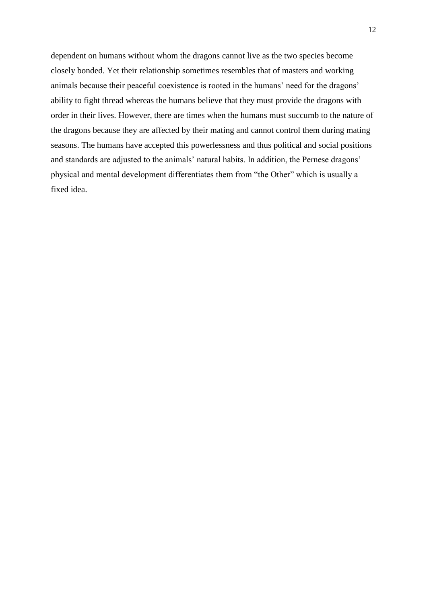<span id="page-15-0"></span>dependent on humans without whom the dragons cannot live as the two species become closely bonded. Yet their relationship sometimes resembles that of masters and working animals because their peaceful coexistence is rooted in the humans' need for the dragons' ability to fight thread whereas the humans believe that they must provide the dragons with order in their lives. However, there are times when the humans must succumb to the nature of the dragons because they are affected by their mating and cannot control them during mating seasons. The humans have accepted this powerlessness and thus political and social positions and standards are adjusted to the animals' natural habits. In addition, the Pernese dragons' physical and mental development differentiates them from "the Other" which is usually a fixed idea.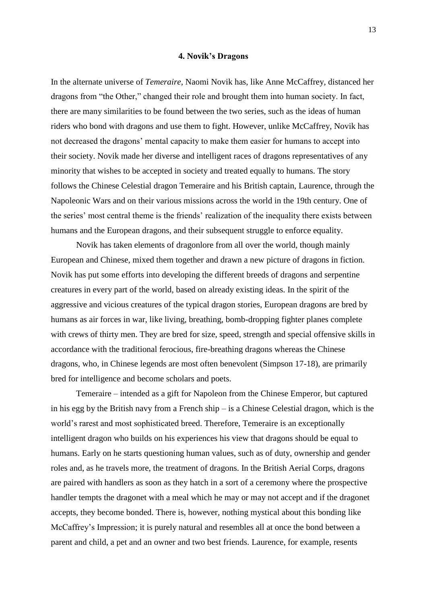#### **4. Novik's Dragons**

In the alternate universe of *Temeraire*, Naomi Novik has, like Anne McCaffrey, distanced her dragons from "the Other," changed their role and brought them into human society. In fact, there are many similarities to be found between the two series, such as the ideas of human riders who bond with dragons and use them to fight. However, unlike McCaffrey, Novik has not decreased the dragons' mental capacity to make them easier for humans to accept into their society. Novik made her diverse and intelligent races of dragons representatives of any minority that wishes to be accepted in society and treated equally to humans. The story follows the Chinese Celestial dragon Temeraire and his British captain, Laurence, through the Napoleonic Wars and on their various missions across the world in the 19th century. One of the series' most central theme is the friends' realization of the inequality there exists between humans and the European dragons, and their subsequent struggle to enforce equality.

Novik has taken elements of dragonlore from all over the world, though mainly European and Chinese, mixed them together and drawn a new picture of dragons in fiction. Novik has put some efforts into developing the different breeds of dragons and serpentine creatures in every part of the world, based on already existing ideas. In the spirit of the aggressive and vicious creatures of the typical dragon stories, European dragons are bred by humans as air forces in war, like living, breathing, bomb-dropping fighter planes complete with crews of thirty men. They are bred for size, speed, strength and special offensive skills in accordance with the traditional ferocious, fire-breathing dragons whereas the Chinese dragons, who, in Chinese legends are most often benevolent (Simpson 17-18), are primarily bred for intelligence and become scholars and poets.

Temeraire – intended as a gift for Napoleon from the Chinese Emperor, but captured in his egg by the British navy from a French ship – is a Chinese Celestial dragon, which is the world's rarest and most sophisticated breed. Therefore, Temeraire is an exceptionally intelligent dragon who builds on his experiences his view that dragons should be equal to humans. Early on he starts questioning human values, such as of duty, ownership and gender roles and, as he travels more, the treatment of dragons. In the British Aerial Corps, dragons are paired with handlers as soon as they hatch in a sort of a ceremony where the prospective handler tempts the dragonet with a meal which he may or may not accept and if the dragonet accepts, they become bonded. There is, however, nothing mystical about this bonding like McCaffrey's Impression; it is purely natural and resembles all at once the bond between a parent and child, a pet and an owner and two best friends. Laurence, for example, resents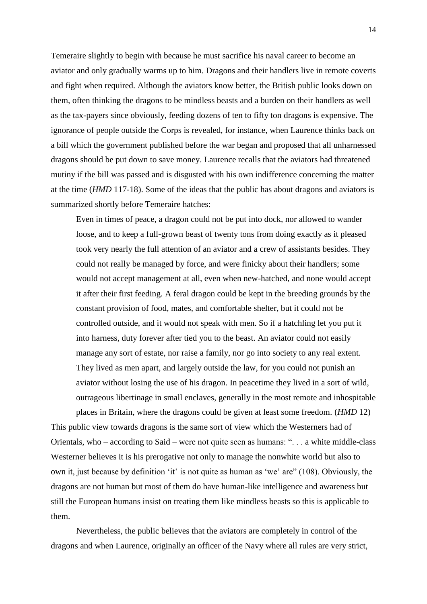Temeraire slightly to begin with because he must sacrifice his naval career to become an aviator and only gradually warms up to him. Dragons and their handlers live in remote coverts and fight when required. Although the aviators know better, the British public looks down on them, often thinking the dragons to be mindless beasts and a burden on their handlers as well as the tax-payers since obviously, feeding dozens of ten to fifty ton dragons is expensive. The ignorance of people outside the Corps is revealed, for instance, when Laurence thinks back on a bill which the government published before the war began and proposed that all unharnessed dragons should be put down to save money. Laurence recalls that the aviators had threatened mutiny if the bill was passed and is disgusted with his own indifference concerning the matter at the time (*HMD* 117-18). Some of the ideas that the public has about dragons and aviators is summarized shortly before Temeraire hatches:

Even in times of peace, a dragon could not be put into dock, nor allowed to wander loose, and to keep a full-grown beast of twenty tons from doing exactly as it pleased took very nearly the full attention of an aviator and a crew of assistants besides. They could not really be managed by force, and were finicky about their handlers; some would not accept management at all, even when new-hatched, and none would accept it after their first feeding. A feral dragon could be kept in the breeding grounds by the constant provision of food, mates, and comfortable shelter, but it could not be controlled outside, and it would not speak with men. So if a hatchling let you put it into harness, duty forever after tied you to the beast. An aviator could not easily manage any sort of estate, nor raise a family, nor go into society to any real extent. They lived as men apart, and largely outside the law, for you could not punish an aviator without losing the use of his dragon. In peacetime they lived in a sort of wild, outrageous libertinage in small enclaves, generally in the most remote and inhospitable

places in Britain, where the dragons could be given at least some freedom. (*HMD* 12) This public view towards dragons is the same sort of view which the Westerners had of Orientals, who – according to Said – were not quite seen as humans: ". . . a white middle-class Westerner believes it is his prerogative not only to manage the nonwhite world but also to own it, just because by definition 'it' is not quite as human as 'we' are" (108). Obviously, the dragons are not human but most of them do have human-like intelligence and awareness but still the European humans insist on treating them like mindless beasts so this is applicable to them.

Nevertheless, the public believes that the aviators are completely in control of the dragons and when Laurence, originally an officer of the Navy where all rules are very strict,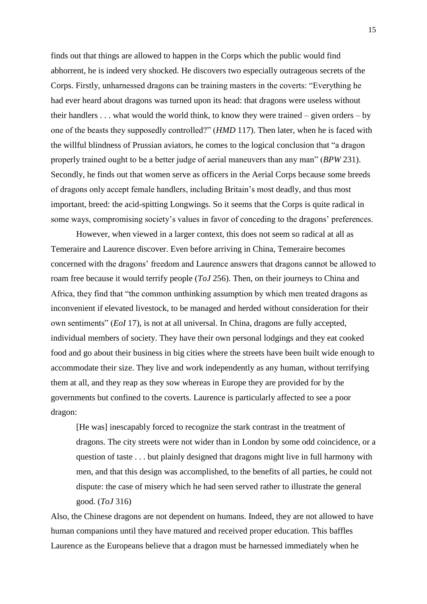finds out that things are allowed to happen in the Corps which the public would find abhorrent, he is indeed very shocked. He discovers two especially outrageous secrets of the Corps. Firstly, unharnessed dragons can be training masters in the coverts: "Everything he had ever heard about dragons was turned upon its head: that dragons were useless without their handlers . . . what would the world think, to know they were trained – given orders – by one of the beasts they supposedly controlled?" (*HMD* 117). Then later, when he is faced with the willful blindness of Prussian aviators, he comes to the logical conclusion that "a dragon properly trained ought to be a better judge of aerial maneuvers than any man" (*BPW* 231). Secondly, he finds out that women serve as officers in the Aerial Corps because some breeds of dragons only accept female handlers, including Britain's most deadly, and thus most important, breed: the acid-spitting Longwings. So it seems that the Corps is quite radical in some ways, compromising society's values in favor of conceding to the dragons' preferences.

However, when viewed in a larger context, this does not seem so radical at all as Temeraire and Laurence discover. Even before arriving in China, Temeraire becomes concerned with the dragons' freedom and Laurence answers that dragons cannot be allowed to roam free because it would terrify people (*ToJ* 256). Then, on their journeys to China and Africa, they find that "the common unthinking assumption by which men treated dragons as inconvenient if elevated livestock, to be managed and herded without consideration for their own sentiments" (*EoI* 17), is not at all universal. In China, dragons are fully accepted, individual members of society. They have their own personal lodgings and they eat cooked food and go about their business in big cities where the streets have been built wide enough to accommodate their size. They live and work independently as any human, without terrifying them at all, and they reap as they sow whereas in Europe they are provided for by the governments but confined to the coverts. Laurence is particularly affected to see a poor dragon:

[He was] inescapably forced to recognize the stark contrast in the treatment of dragons. The city streets were not wider than in London by some odd coincidence, or a question of taste . . . but plainly designed that dragons might live in full harmony with men, and that this design was accomplished, to the benefits of all parties, he could not dispute: the case of misery which he had seen served rather to illustrate the general good. (*ToJ* 316)

Also, the Chinese dragons are not dependent on humans. Indeed, they are not allowed to have human companions until they have matured and received proper education. This baffles Laurence as the Europeans believe that a dragon must be harnessed immediately when he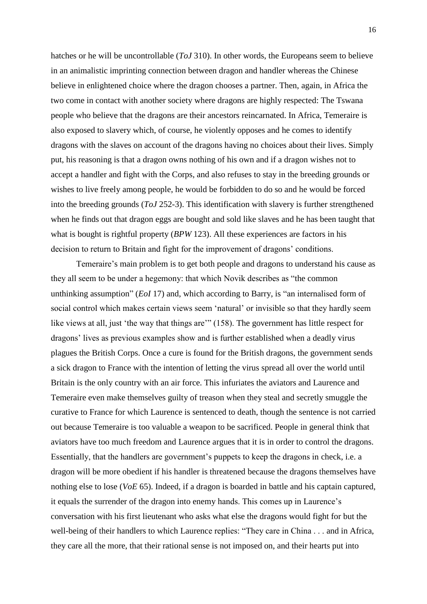hatches or he will be uncontrollable (*ToJ* 310). In other words, the Europeans seem to believe in an animalistic imprinting connection between dragon and handler whereas the Chinese believe in enlightened choice where the dragon chooses a partner. Then, again, in Africa the two come in contact with another society where dragons are highly respected: The Tswana people who believe that the dragons are their ancestors reincarnated. In Africa, Temeraire is also exposed to slavery which, of course, he violently opposes and he comes to identify dragons with the slaves on account of the dragons having no choices about their lives. Simply put, his reasoning is that a dragon owns nothing of his own and if a dragon wishes not to accept a handler and fight with the Corps, and also refuses to stay in the breeding grounds or wishes to live freely among people, he would be forbidden to do so and he would be forced into the breeding grounds (*ToJ* 252-3). This identification with slavery is further strengthened when he finds out that dragon eggs are bought and sold like slaves and he has been taught that what is bought is rightful property (*BPW* 123). All these experiences are factors in his decision to return to Britain and fight for the improvement of dragons' conditions.

Temeraire's main problem is to get both people and dragons to understand his cause as they all seem to be under a hegemony: that which Novik describes as "the common unthinking assumption" (*EoI* 17) and, which according to Barry, is "an internalised form of social control which makes certain views seem 'natural' or invisible so that they hardly seem like views at all, just 'the way that things are'" (158). The government has little respect for dragons' lives as previous examples show and is further established when a deadly virus plagues the British Corps. Once a cure is found for the British dragons, the government sends a sick dragon to France with the intention of letting the virus spread all over the world until Britain is the only country with an air force. This infuriates the aviators and Laurence and Temeraire even make themselves guilty of treason when they steal and secretly smuggle the curative to France for which Laurence is sentenced to death, though the sentence is not carried out because Temeraire is too valuable a weapon to be sacrificed. People in general think that aviators have too much freedom and Laurence argues that it is in order to control the dragons. Essentially, that the handlers are government's puppets to keep the dragons in check, i.e. a dragon will be more obedient if his handler is threatened because the dragons themselves have nothing else to lose (*VoE* 65). Indeed, if a dragon is boarded in battle and his captain captured, it equals the surrender of the dragon into enemy hands. This comes up in Laurence's conversation with his first lieutenant who asks what else the dragons would fight for but the well-being of their handlers to which Laurence replies: "They care in China . . . and in Africa, they care all the more, that their rational sense is not imposed on, and their hearts put into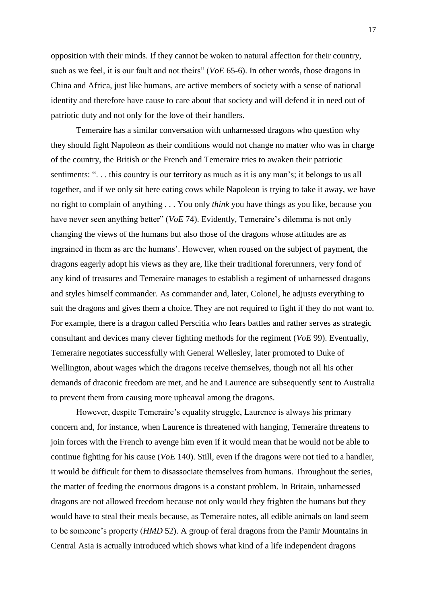opposition with their minds. If they cannot be woken to natural affection for their country, such as we feel, it is our fault and not theirs" (*VoE* 65-6). In other words, those dragons in China and Africa, just like humans, are active members of society with a sense of national identity and therefore have cause to care about that society and will defend it in need out of patriotic duty and not only for the love of their handlers.

Temeraire has a similar conversation with unharnessed dragons who question why they should fight Napoleon as their conditions would not change no matter who was in charge of the country, the British or the French and Temeraire tries to awaken their patriotic sentiments: "... this country is our territory as much as it is any man's; it belongs to us all together, and if we only sit here eating cows while Napoleon is trying to take it away, we have no right to complain of anything . . . You only *think* you have things as you like, because you have never seen anything better" (*VoE* 74). Evidently, Temeraire's dilemma is not only changing the views of the humans but also those of the dragons whose attitudes are as ingrained in them as are the humans'. However, when roused on the subject of payment, the dragons eagerly adopt his views as they are, like their traditional forerunners, very fond of any kind of treasures and Temeraire manages to establish a regiment of unharnessed dragons and styles himself commander. As commander and, later, Colonel, he adjusts everything to suit the dragons and gives them a choice. They are not required to fight if they do not want to. For example, there is a dragon called Perscitia who fears battles and rather serves as strategic consultant and devices many clever fighting methods for the regiment (*VoE* 99). Eventually, Temeraire negotiates successfully with General Wellesley, later promoted to Duke of Wellington, about wages which the dragons receive themselves, though not all his other demands of draconic freedom are met, and he and Laurence are subsequently sent to Australia to prevent them from causing more upheaval among the dragons.

However, despite Temeraire's equality struggle, Laurence is always his primary concern and, for instance, when Laurence is threatened with hanging, Temeraire threatens to join forces with the French to avenge him even if it would mean that he would not be able to continue fighting for his cause (*VoE* 140). Still, even if the dragons were not tied to a handler, it would be difficult for them to disassociate themselves from humans. Throughout the series, the matter of feeding the enormous dragons is a constant problem. In Britain, unharnessed dragons are not allowed freedom because not only would they frighten the humans but they would have to steal their meals because, as Temeraire notes, all edible animals on land seem to be someone's property (*HMD* 52). A group of feral dragons from the Pamir Mountains in Central Asia is actually introduced which shows what kind of a life independent dragons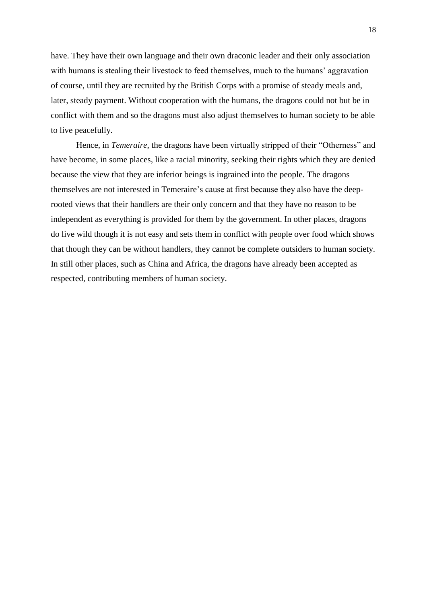have. They have their own language and their own draconic leader and their only association with humans is stealing their livestock to feed themselves, much to the humans' aggravation of course, until they are recruited by the British Corps with a promise of steady meals and, later, steady payment. Without cooperation with the humans, the dragons could not but be in conflict with them and so the dragons must also adjust themselves to human society to be able to live peacefully.

<span id="page-21-0"></span>Hence, in *Temeraire*, the dragons have been virtually stripped of their "Otherness" and have become, in some places, like a racial minority, seeking their rights which they are denied because the view that they are inferior beings is ingrained into the people. The dragons themselves are not interested in Temeraire's cause at first because they also have the deeprooted views that their handlers are their only concern and that they have no reason to be independent as everything is provided for them by the government. In other places, dragons do live wild though it is not easy and sets them in conflict with people over food which shows that though they can be without handlers, they cannot be complete outsiders to human society. In still other places, such as China and Africa, the dragons have already been accepted as respected, contributing members of human society.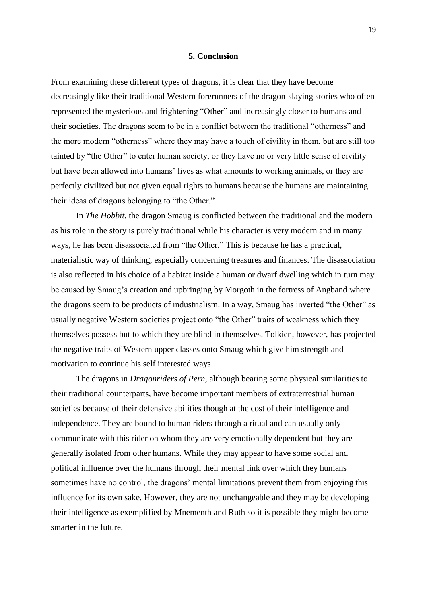### **5. Conclusion**

From examining these different types of dragons, it is clear that they have become decreasingly like their traditional Western forerunners of the dragon-slaying stories who often represented the mysterious and frightening "Other" and increasingly closer to humans and their societies. The dragons seem to be in a conflict between the traditional "otherness" and the more modern "otherness" where they may have a touch of civility in them, but are still too tainted by "the Other" to enter human society, or they have no or very little sense of civility but have been allowed into humans' lives as what amounts to working animals, or they are perfectly civilized but not given equal rights to humans because the humans are maintaining their ideas of dragons belonging to "the Other."

In *The Hobbit*, the dragon Smaug is conflicted between the traditional and the modern as his role in the story is purely traditional while his character is very modern and in many ways, he has been disassociated from "the Other." This is because he has a practical, materialistic way of thinking, especially concerning treasures and finances. The disassociation is also reflected in his choice of a habitat inside a human or dwarf dwelling which in turn may be caused by Smaug's creation and upbringing by Morgoth in the fortress of Angband where the dragons seem to be products of industrialism. In a way, Smaug has inverted "the Other" as usually negative Western societies project onto "the Other" traits of weakness which they themselves possess but to which they are blind in themselves. Tolkien, however, has projected the negative traits of Western upper classes onto Smaug which give him strength and motivation to continue his self interested ways.

The dragons in *Dragonriders of Pern*, although bearing some physical similarities to their traditional counterparts, have become important members of extraterrestrial human societies because of their defensive abilities though at the cost of their intelligence and independence. They are bound to human riders through a ritual and can usually only communicate with this rider on whom they are very emotionally dependent but they are generally isolated from other humans. While they may appear to have some social and political influence over the humans through their mental link over which they humans sometimes have no control, the dragons' mental limitations prevent them from enjoying this influence for its own sake. However, they are not unchangeable and they may be developing their intelligence as exemplified by Mnementh and Ruth so it is possible they might become smarter in the future.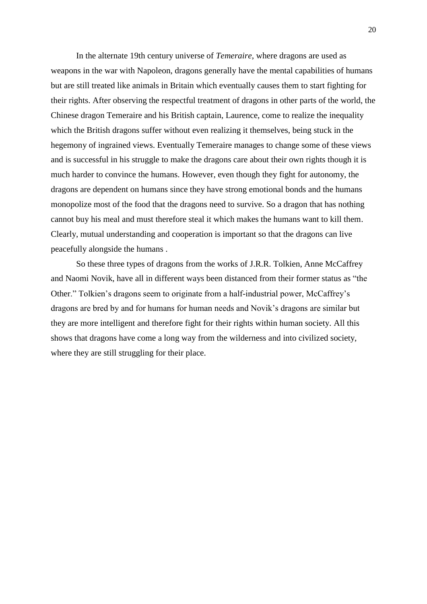In the alternate 19th century universe of *Temeraire*, where dragons are used as weapons in the war with Napoleon, dragons generally have the mental capabilities of humans but are still treated like animals in Britain which eventually causes them to start fighting for their rights. After observing the respectful treatment of dragons in other parts of the world, the Chinese dragon Temeraire and his British captain, Laurence, come to realize the inequality which the British dragons suffer without even realizing it themselves, being stuck in the hegemony of ingrained views. Eventually Temeraire manages to change some of these views and is successful in his struggle to make the dragons care about their own rights though it is much harder to convince the humans. However, even though they fight for autonomy, the dragons are dependent on humans since they have strong emotional bonds and the humans monopolize most of the food that the dragons need to survive. So a dragon that has nothing cannot buy his meal and must therefore steal it which makes the humans want to kill them. Clearly, mutual understanding and cooperation is important so that the dragons can live peacefully alongside the humans .

So these three types of dragons from the works of J.R.R. Tolkien, Anne McCaffrey and Naomi Novik, have all in different ways been distanced from their former status as "the Other." Tolkien's dragons seem to originate from a half-industrial power, McCaffrey's dragons are bred by and for humans for human needs and Novik's dragons are similar but they are more intelligent and therefore fight for their rights within human society. All this shows that dragons have come a long way from the wilderness and into civilized society, where they are still struggling for their place.